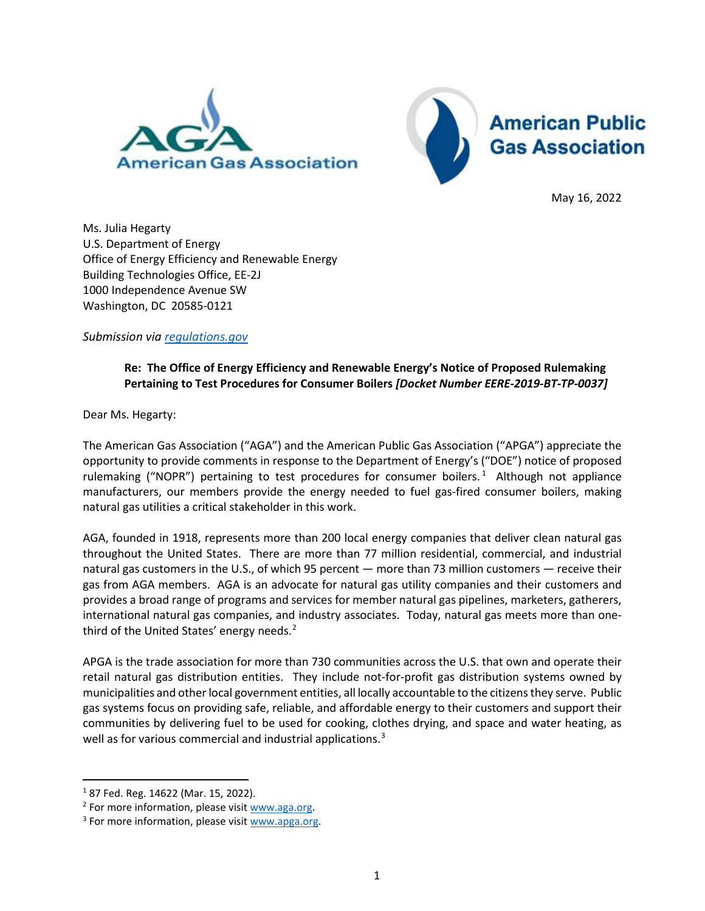



May 16, 2022

Ms. Julia Hegarty U.S. Department of Energy Office of Energy Efficiency and Renewable Energy Building Technologies Office, EE-2J 1000 Independence Avenue SW Washington, DC 20585-0121

*Submission via [regulations.gov](http://www.regulations.gov/)*

## **Re: The Office of Energy Efficiency and Renewable Energy's Notice of Proposed Rulemaking Pertaining to Test Procedures for Consumer Boilers** *[Docket Number EERE-2019-BT-TP-0037]*

Dear Ms. Hegarty:

The American Gas Association ("AGA") and the American Public Gas Association ("APGA") appreciate the opportunity to provide comments in response to the Department of Energy's ("DOE") notice of proposed rulemaking ("NOPR") pertaining to test procedures for consumer boilers.<sup>[1](#page-0-0)</sup> Although not appliance manufacturers, our members provide the energy needed to fuel gas-fired consumer boilers, making natural gas utilities a critical stakeholder in this work.

AGA, founded in 1918, represents more than 200 local energy companies that deliver clean natural gas throughout the United States. There are more than 77 million residential, commercial, and industrial natural gas customers in the U.S., of which 95 percent — more than 73 million customers — receive their gas from AGA members. AGA is an advocate for natural gas utility companies and their customers and provides a broad range of programs and services for member natural gas pipelines, marketers, gatherers, international natural gas companies, and industry associates. Today, natural gas meets more than onethird of the United States' energy needs. $<sup>2</sup>$  $<sup>2</sup>$  $<sup>2</sup>$ </sup>

APGA is the trade association for more than 730 communities across the U.S. that own and operate their retail natural gas distribution entities. They include not-for-profit gas distribution systems owned by municipalities and other local government entities, all locally accountable to the citizens they serve. Public gas systems focus on providing safe, reliable, and affordable energy to their customers and support their communities by delivering fuel to be used for cooking, clothes drying, and space and water heating, as well as for various commercial and industrial applications.<sup>[3](#page-0-2)</sup>

<span id="page-0-0"></span><sup>1</sup> 87 Fed. Reg. 14622 (Mar. 15, 2022).

<span id="page-0-1"></span><sup>&</sup>lt;sup>2</sup> For more information, please visit  $www.agg.org.$ <sup>3</sup> For more information, please visi[t www.apga.org.](http://www.apga.org/)

<span id="page-0-2"></span>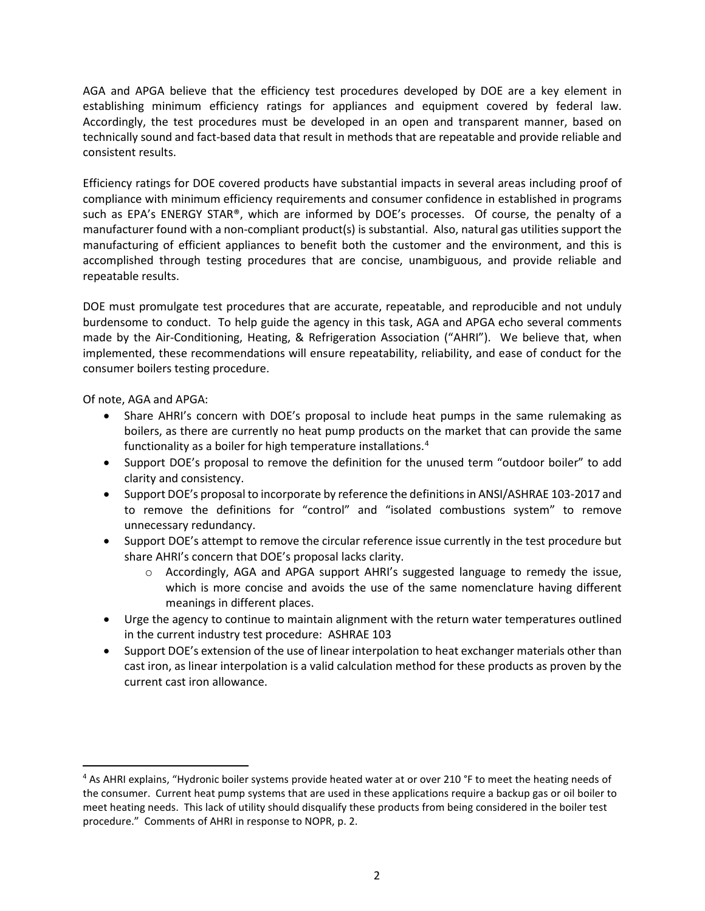AGA and APGA believe that the efficiency test procedures developed by DOE are a key element in establishing minimum efficiency ratings for appliances and equipment covered by federal law. Accordingly, the test procedures must be developed in an open and transparent manner, based on technically sound and fact-based data that result in methods that are repeatable and provide reliable and consistent results.

Efficiency ratings for DOE covered products have substantial impacts in several areas including proof of compliance with minimum efficiency requirements and consumer confidence in established in programs such as EPA's ENERGY STAR®, which are informed by DOE's processes. Of course, the penalty of a manufacturer found with a non-compliant product(s) is substantial. Also, natural gas utilities support the manufacturing of efficient appliances to benefit both the customer and the environment, and this is accomplished through testing procedures that are concise, unambiguous, and provide reliable and repeatable results.

DOE must promulgate test procedures that are accurate, repeatable, and reproducible and not unduly burdensome to conduct. To help guide the agency in this task, AGA and APGA echo several comments made by the Air-Conditioning, Heating, & Refrigeration Association ("AHRI"). We believe that, when implemented, these recommendations will ensure repeatability, reliability, and ease of conduct for the consumer boilers testing procedure.

Of note, AGA and APGA:

- Share AHRI's concern with DOE's proposal to include heat pumps in the same rulemaking as boilers, as there are currently no heat pump products on the market that can provide the same functionality as a boiler for high temperature installations.<sup>[4](#page-1-0)</sup>
- Support DOE's proposal to remove the definition for the unused term "outdoor boiler" to add clarity and consistency.
- Support DOE's proposal to incorporate by reference the definitions in ANSI/ASHRAE 103-2017 and to remove the definitions for "control" and "isolated combustions system" to remove unnecessary redundancy.
- Support DOE's attempt to remove the circular reference issue currently in the test procedure but share AHRI's concern that DOE's proposal lacks clarity.
	- $\circ$  Accordingly, AGA and APGA support AHRI's suggested language to remedy the issue, which is more concise and avoids the use of the same nomenclature having different meanings in different places.
- Urge the agency to continue to maintain alignment with the return water temperatures outlined in the current industry test procedure: ASHRAE 103
- Support DOE's extension of the use of linear interpolation to heat exchanger materials other than cast iron, as linear interpolation is a valid calculation method for these products as proven by the current cast iron allowance.

<span id="page-1-0"></span><sup>4</sup> As AHRI explains, "Hydronic boiler systems provide heated water at or over 210 °F to meet the heating needs of the consumer. Current heat pump systems that are used in these applications require a backup gas or oil boiler to meet heating needs. This lack of utility should disqualify these products from being considered in the boiler test procedure." Comments of AHRI in response to NOPR, p. 2.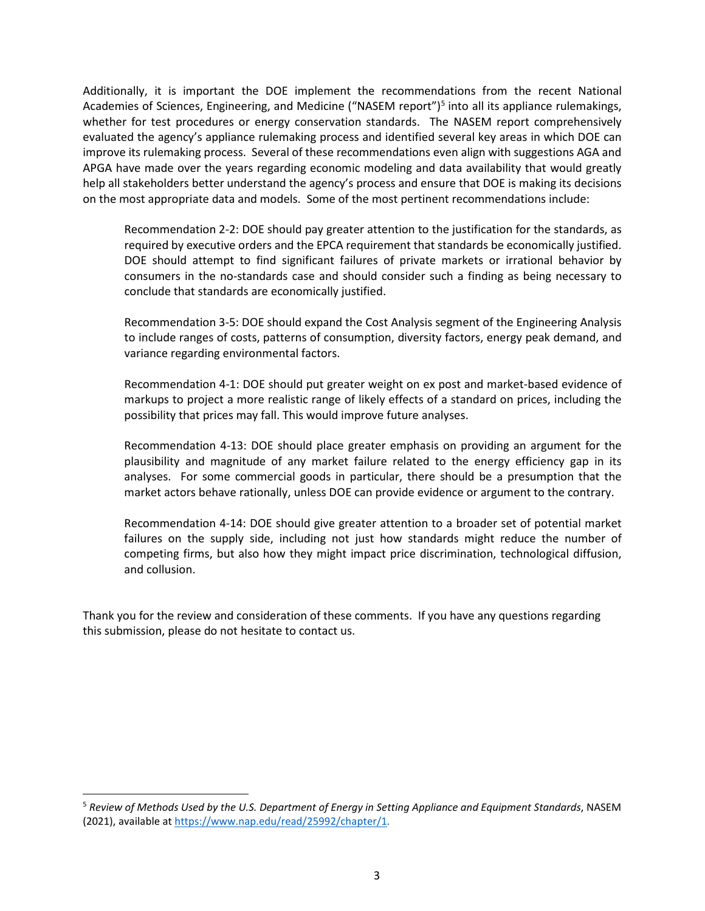Additionally, it is important the DOE implement the recommendations from the recent National Academies of Sciences, Engineering, and Medicine ("NASEM report")<sup>[5](#page-2-0)</sup> into all its appliance rulemakings, whether for test procedures or energy conservation standards. The NASEM report comprehensively evaluated the agency's appliance rulemaking process and identified several key areas in which DOE can improve its rulemaking process. Several of these recommendations even align with suggestions AGA and APGA have made over the years regarding economic modeling and data availability that would greatly help all stakeholders better understand the agency's process and ensure that DOE is making its decisions on the most appropriate data and models. Some of the most pertinent recommendations include:

Recommendation 2-2: DOE should pay greater attention to the justification for the standards, as required by executive orders and the EPCA requirement that standards be economically justified. DOE should attempt to find significant failures of private markets or irrational behavior by consumers in the no-standards case and should consider such a finding as being necessary to conclude that standards are economically justified.

Recommendation 3-5: DOE should expand the Cost Analysis segment of the Engineering Analysis to include ranges of costs, patterns of consumption, diversity factors, energy peak demand, and variance regarding environmental factors.

Recommendation 4-1: DOE should put greater weight on ex post and market-based evidence of markups to project a more realistic range of likely effects of a standard on prices, including the possibility that prices may fall. This would improve future analyses.

Recommendation 4-13: DOE should place greater emphasis on providing an argument for the plausibility and magnitude of any market failure related to the energy efficiency gap in its analyses. For some commercial goods in particular, there should be a presumption that the market actors behave rationally, unless DOE can provide evidence or argument to the contrary.

Recommendation 4-14: DOE should give greater attention to a broader set of potential market failures on the supply side, including not just how standards might reduce the number of competing firms, but also how they might impact price discrimination, technological diffusion, and collusion.

Thank you for the review and consideration of these comments. If you have any questions regarding this submission, please do not hesitate to contact us.

<span id="page-2-0"></span><sup>5</sup> *Review of Methods Used by the U.S. Department of Energy in Setting Appliance and Equipment Standards*, NASEM (2021), available at [https://www.nap.edu/read/25992/chapter/1.](https://www.nap.edu/read/25992/chapter/1)